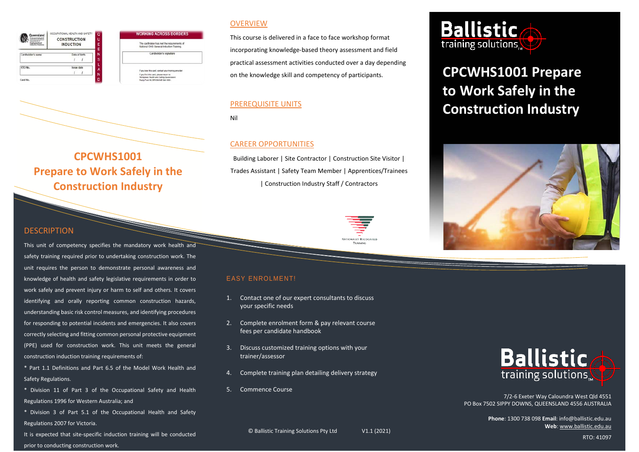| Queensland        | OCCUPATIONAL HEALTH AND SAFETY          | $\overline{a}$ | <b>WORKING ACROSS BORDE</b>                                                                                             |
|-------------------|-----------------------------------------|----------------|-------------------------------------------------------------------------------------------------------------------------|
|                   | <b>CONSTRUCTION</b><br><b>INDUCTION</b> | U<br>Ë<br>Ë    | The cardholder has met the requirements<br>National OHS General Induction Training.                                     |
| Cardholder's name | Date of birth                           | N<br>s         | Cardholder's signature                                                                                                  |
| RTO No.           | Insue date                              | A              | If you lose this card, contact your training provider.                                                                  |
| D<br>Card No.     |                                         | N              | If you find this card, please return to:<br>Workplace Health and Safety Queensland<br>Reply Paid 69, BRISBANE QUI 4001. |

#### **OVERVIEW**

**GACROSS BORDERS** 

This course is delivered in a face to face workshop format incorporating knowledge-based theory assessment and field practical assessment activities conducted over a day depending on the knowledge skill and competency of participants.

#### PREREQUISITE UNITS

Nil

#### CAREER OPPORTUNITIES

Building Laborer | Site Contractor | Construction Site Visitor | Trades Assistant | Safety Team Member | Apprentices/Trainees | Construction Industry Staff / Contractors



### DESCRIPTION

This unit of competency specifies the mandatory work health and safety training required prior to undertaking construction work. The unit requires the person to demonstrate personal awareness and knowledge of health and safety legislative requirements in order to work safely and prevent injury or harm to self and others. It covers identifying and orally reporting common construction hazards, understanding basic risk control measures, and identifying procedures for responding to potential incidents and emergencies. It also covers correctly selecting and fitting common personal protective equipment (PPE) used for construction work. This unit meets the general construction induction training requirements of:

**CPCWHS1001** 

**Prepare to Work Safely in the Construction Industry**

\* Part 1.1 Definitions and Part 6.5 of the Model Work Health and Safety Regulations.

- \* Division 11 of Part 3 of the Occupational Safety and Health Regulations 1996 for Western Australia; and
- \* Division 3 of Part 5.1 of the Occupational Health and Safety Regulations 2007 for Victoria.
- It is expected that site-specific induction training will be conducted prior to conducting construction work.

#### EASY ENROLMENT!

- 1. Contact one of our expert consultants to discuss your specific needs
- 2. Complete enrolment form & pay relevant course fees per candidate handbook
- 3. Discuss customized training options with your trainer/assessor
- 4. Complete training plan detailing delivery strategy
- 5. Commence Course



# **CPCWHS1001 Prepare to Work Safely in the Construction Industry**





7/2-6 Exeter Way Caloundra West Qld 4551 PO Box 7502 SIPPY DOWNS, QUEENSLAND 4556 AUSTRALIA

> **Phone**: 1300 738 098 **Email**: info@ballistic.edu.au **Web**[: www.ballistic.edu.au](http://www.ballistic.edu.au/)